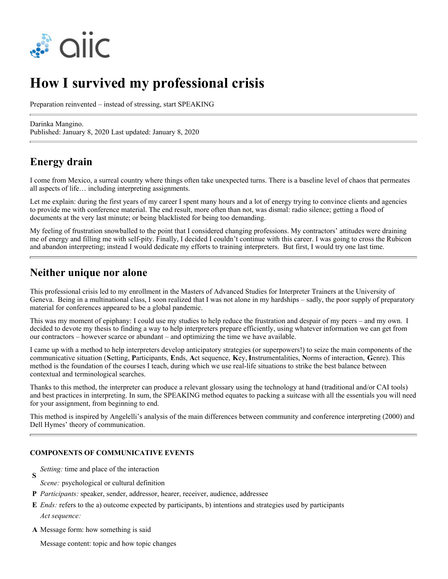

# **How I survived my professional crisis**

Preparation reinvented – instead of stressing, start SPEAKING

Darinka Mangino. Published: January 8, 2020 Last updated: January 8, 2020

## **Energy drain**

I come from Mexico, a surreal country where things often take unexpected turns. There is a baseline level of chaos that permeates all aspects of life… including interpreting assignments.

Let me explain: during the first years of my career I spent many hours and a lot of energy trying to convince clients and agencies to provide me with conference material. The end result, more often than not, was dismal: radio silence; getting a flood of documents at the very last minute; or being blacklisted for being too demanding.

My feeling of frustration snowballed to the point that I considered changing professions. My contractors' attitudes were draining me of energy and filling me with self-pity. Finally, I decided I couldn't continue with this career. I was going to cross the Rubicon and abandon interpreting; instead I would dedicate my efforts to training interpreters. But first, I would try one last time.

### **Neither unique nor alone**

This professional crisis led to my enrollment in the Masters of Advanced Studies for Interpreter Trainers at the University of Geneva. Being in a multinational class, I soon realized that I was not alone in my hardships – sadly, the poor supply of preparatory material for conferences appeared to be a global pandemic.

This was my moment of epiphany: I could use my studies to help reduce the frustration and despair of my peers – and my own. I decided to devote my thesis to finding a way to help interpreters prepare efficiently, using whatever information we can get from our contractors – however scarce or abundant – and optimizing the time we have available.

I came up with a method to help interpreters develop anticipatory strategies (or superpowers!) to seize the main components of the communicative situation (**S**etting, **P**articipants, **E**nds, **A**ct sequence, **K**ey, **I**nstrumentalities, **N**orms of interaction, **G**enre). This method is the foundation of the courses I teach, during which we use real-life situations to strike the best balance between contextual and terminological searches.

Thanks to this method, the interpreter can produce a relevant glossary using the technology at hand (traditional and/or CAI tools) and best practices in interpreting. In sum, the SPEAKING method equates to packing a suitcase with all the essentials you will need for your assignment, from beginning to end.

This method is inspired by Angelelli's analysis of the main differences between community and conference interpreting (2000) and Dell Hymes' theory of communication.

#### **COMPONENTS OF COMMUNICATIVE EVENTS**

**S** *Setting:* time and place of the interaction

- *Scene:* psychological or cultural definition
- **P** *Participants:* speaker, sender, addressor, hearer, receiver, audience, addressee
- **E** *Ends:* refers to the a) outcome expected by participants, b) intentions and strategies used by participants *Act sequence:*
- **A** Message form: how something is said

Message content: topic and how topic changes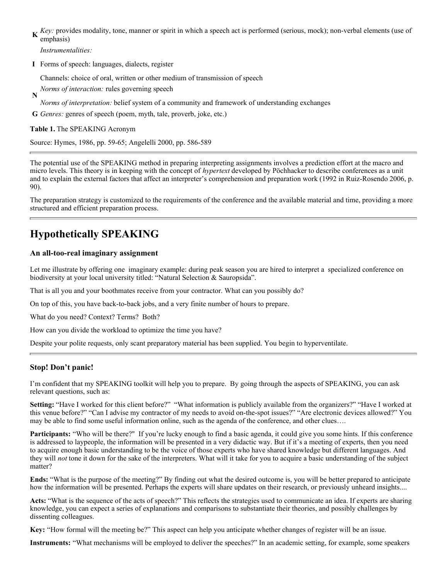**K**ey: provides modality, tone, manner or spirit in which a speech act is performed (serious, mock); non-verbal elements (use of anotheric) emphasis)

*Instrumentalities:*

**I** Forms of speech: languages, dialects, register

Channels: choice of oral, written or other medium of transmission of speech

**N** *Norms of interaction:* rules governing speech

*Norms of interpretation:* belief system of a community and framework of understanding exchanges

**G** *Genres:* genres of speech (poem, myth, tale, proverb, joke, etc.)

**Table 1.** The SPEAKING Acronym

Source: Hymes, 1986, pp. 59-65; Angelelli 2000, pp. 586-589

The potential use of the SPEAKING method in preparing interpreting assignments involves a prediction effort at the macro and micro levels. This theory is in keeping with the concept of *hypertext* developed by Pöchhacker to describe conferences as a unit and to explain the external factors that affect an interpreter's comprehension and preparation work (1992 in Ruiz-Rosendo 2006, p. 90).

The preparation strategy is customized to the requirements of the conference and the available material and time, providing a more structured and efficient preparation process.

## **Hypothetically SPEAKING**

### **An all-too-real imaginary assignment**

Let me illustrate by offering one imaginary example: during peak season you are hired to interpret a specialized conference on biodiversity at your local university titled: "Natural Selection & Sauropsida".

That is all you and your boothmates receive from your contractor. What can you possibly do?

On top of this, you have back-to-back jobs, and a very finite number of hours to prepare.

What do you need? Context? Terms? Both?

How can you divide the workload to optimize the time you have?

Despite your polite requests, only scant preparatory material has been supplied. You begin to hyperventilate.

### **Stop! Don't panic!**

I'm confident that my SPEAKING toolkit will help you to prepare. By going through the aspects of SPEAKING, you can ask relevant questions, such as:

**Setting:** "Have I worked for this client before?" "What information is publicly available from the organizers?" "Have I worked at this venue before?" "Can I advise my contractor of my needs to avoid on-the-spot issues?" "Are electronic devices allowed?" You may be able to find some useful information online, such as the agenda of the conference, and other clues….

**Participants:** "Who will be there?" If you're lucky enough to find a basic agenda, it could give you some hints. If this conference is addressed to laypeople, the information will be presented in a very didactic way. But if it's a meeting of experts, then you need to acquire enough basic understanding to be the voice of those experts who have shared knowledge but different languages. And they will *not* tone it down for the sake of the interpreters. What will it take for you to acquire a basic understanding of the subject matter?

**Ends:** "What is the purpose of the meeting?" By finding out what the desired outcome is, you will be better prepared to anticipate how the information will be presented. Perhaps the experts will share updates on their research, or previously unheard insights....

**Acts:** "What is the sequence of the acts of speech?" This reflects the strategies used to communicate an idea. If experts are sharing knowledge, you can expect a series of explanations and comparisons to substantiate their theories, and possibly challenges by dissenting colleagues.

**Key:** "How formal will the meeting be?" This aspect can help you anticipate whether changes of register will be an issue.

**Instruments:** "What mechanisms will be employed to deliver the speeches?" In an academic setting, for example, some speakers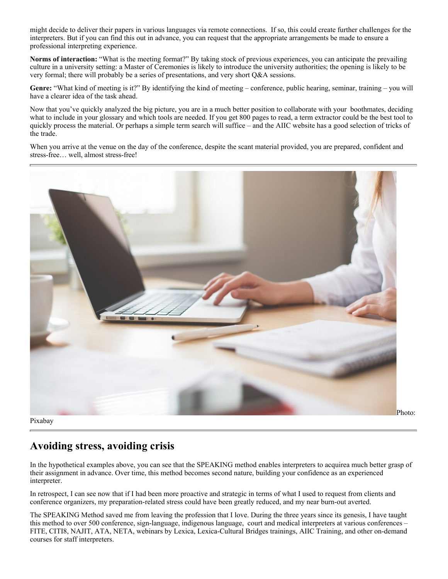might decide to deliver their papers in various languages via remote connections. If so, this could create further challenges for the interpreters. But if you can find this out in advance, you can request that the appropriate arrangements be made to ensure a professional interpreting experience.

**Norms of interaction:** "What is the meeting format?" By taking stock of previous experiences, you can anticipate the prevailing culture in a university setting: a Master of Ceremonies is likely to introduce the university authorities; the opening is likely to be very formal; there will probably be a series of presentations, and very short Q&A sessions.

**Genre:** "What kind of meeting is it?" By identifying the kind of meeting – conference, public hearing, seminar, training – you will have a clearer idea of the task ahead.

Now that you've quickly analyzed the big picture, you are in a much better position to collaborate with your boothmates, deciding what to include in your glossary and which tools are needed. If you get 800 pages to read, a term extractor could be the best tool to quickly process the material. Or perhaps a simple term search will suffice – and the AIIC website has a good selection of tricks of the trade.

When you arrive at the venue on the day of the conference, despite the scant material provided, you are prepared, confident and stress-free… well, almost stress-free!



Pixabay

Photo:

## **Avoiding stress, avoiding crisis**

In the hypothetical examples above, you can see that the SPEAKING method enables interpreters to acquirea much better grasp of their assignment in advance. Over time, this method becomes second nature, building your confidence as an experienced interpreter.

In retrospect, I can see now that if I had been more proactive and strategic in terms of what I used to request from clients and conference organizers, my preparation-related stress could have been greatly reduced, and my near burn-out averted.

The SPEAKING Method saved me from leaving the profession that I love. During the three years since its genesis, I have taught this method to over 500 conference, sign-language, indigenous language, court and medical interpreters at various conferences – FITE, CITI8, NAJIT, ATA, NETA, webinars by Lexica, Lexica-Cultural Bridges trainings, AIIC Training, and other on-demand courses for staff interpreters.